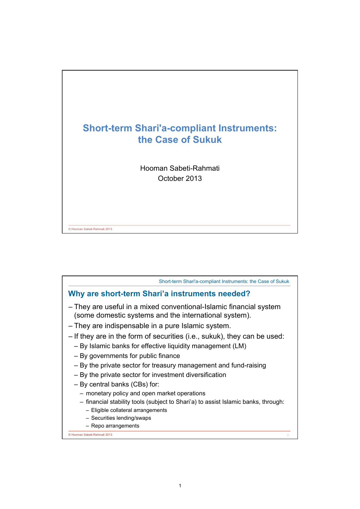

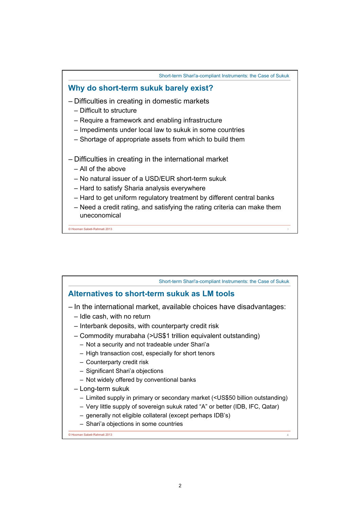

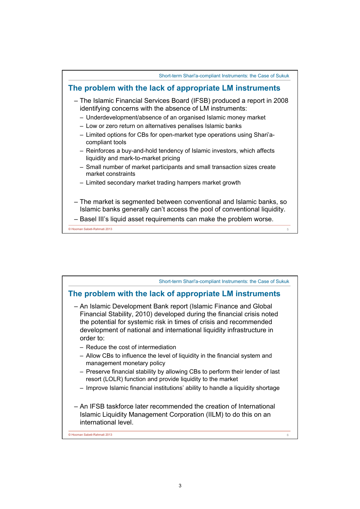

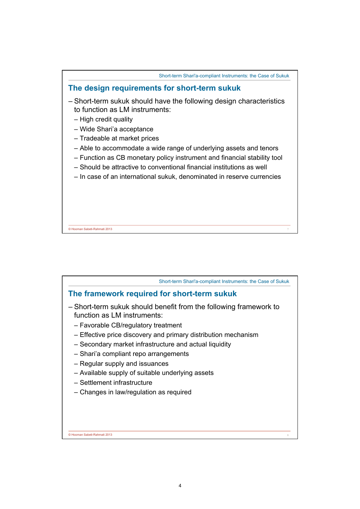

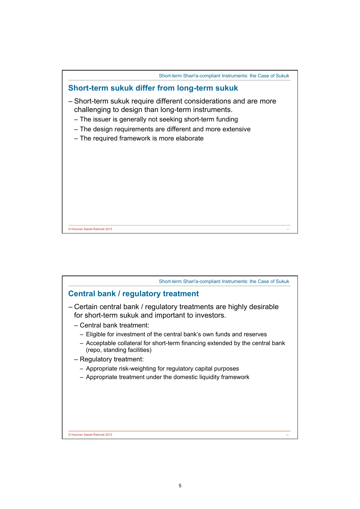

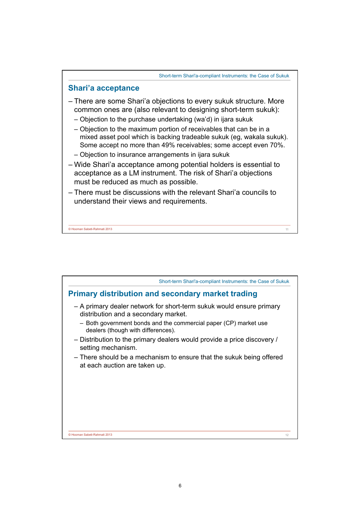

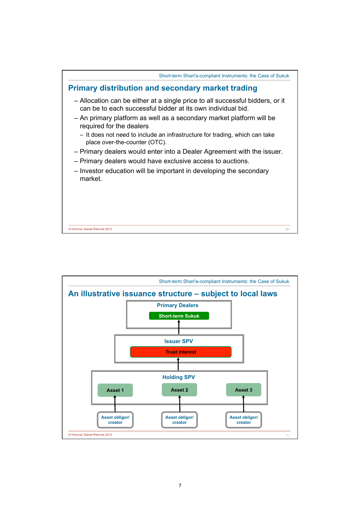

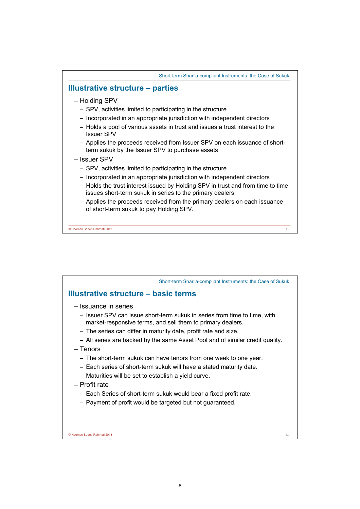

| Short-term Shari'a-compliant Instruments: the Case of Sukuk                                                                                                                                                                                                                                                                                                                                                                                                                                                                                                                                                                                                                            |    |
|----------------------------------------------------------------------------------------------------------------------------------------------------------------------------------------------------------------------------------------------------------------------------------------------------------------------------------------------------------------------------------------------------------------------------------------------------------------------------------------------------------------------------------------------------------------------------------------------------------------------------------------------------------------------------------------|----|
| Illustrative structure – basic terms                                                                                                                                                                                                                                                                                                                                                                                                                                                                                                                                                                                                                                                   |    |
| - Issuance in series<br>- Issuer SPV can issue short-term sukuk in series from time to time, with<br>market-responsive terms, and sell them to primary dealers.<br>- The series can differ in maturity date, profit rate and size.<br>- All series are backed by the same Asset Pool and of similar credit quality.<br>– Tenors<br>- The short-term sukuk can have tenors from one week to one year.<br>- Each series of short-term sukuk will have a stated maturity date.<br>- Maturities will be set to establish a yield curve.<br>- Profit rate<br>- Each Series of short-term sukuk would bear a fixed profit rate.<br>- Payment of profit would be targeted but not guaranteed. |    |
| © Hooman Sabeti-Rahmati 2013                                                                                                                                                                                                                                                                                                                                                                                                                                                                                                                                                                                                                                                           | 16 |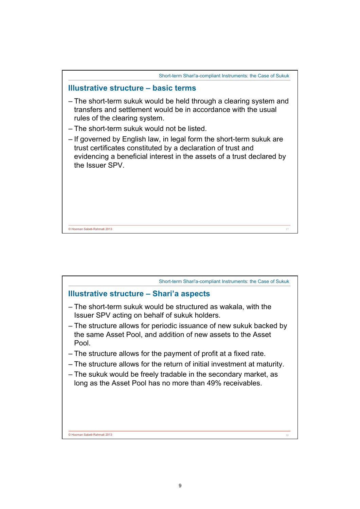

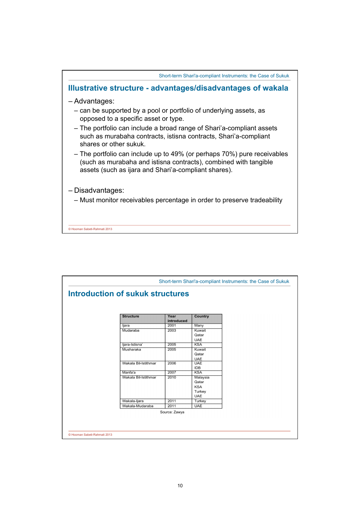

| <b>Structure</b>     | Year          | <b>Country</b>           |  |
|----------------------|---------------|--------------------------|--|
|                      | introduced    |                          |  |
| ljara                | 2001          | Many                     |  |
| Mudaraba             | 2003          | Kuwait                   |  |
|                      |               | Qatar                    |  |
|                      |               | <b>UAE</b>               |  |
| ljara-Istisna'       | 2005          | <b>KSA</b>               |  |
| Musharaka            | 2005          | Kuwait                   |  |
|                      |               | Qatar                    |  |
| Wakala Bil-Istithmar | 2006          | <b>UAE</b><br><b>UAE</b> |  |
|                      |               | <b>IDB</b>               |  |
| Manfa'a              | 2007          | <b>KSA</b>               |  |
| Wakala Bil-Istithmar | 2010          | Malaysia                 |  |
|                      |               | Qatar                    |  |
|                      |               | <b>KSA</b>               |  |
|                      |               | Turkey                   |  |
|                      |               | <b>UAE</b>               |  |
| Wakala-Ijara         | 2011          | Turkey                   |  |
| Wakala-Mudaraba      | 2011          | <b>UAE</b>               |  |
|                      | Source: Zawya |                          |  |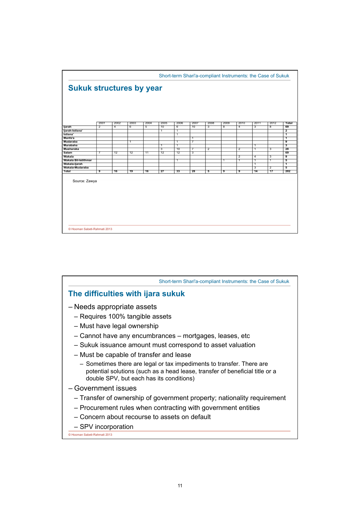

| Short-term Shari'a-compliant Instruments: the Case of Sukuk                                                                                                                                       |
|---------------------------------------------------------------------------------------------------------------------------------------------------------------------------------------------------|
| The difficulties with ijara sukuk                                                                                                                                                                 |
| – Needs appropriate assets                                                                                                                                                                        |
| - Requires 100% tangible assets                                                                                                                                                                   |
| - Must have legal ownership                                                                                                                                                                       |
| - Cannot have any encumbrances - mortgages, leases, etc                                                                                                                                           |
| - Sukuk issuance amount must correspond to asset valuation                                                                                                                                        |
| - Must be capable of transfer and lease                                                                                                                                                           |
| - Sometimes there are legal or tax impediments to transfer. There are<br>potential solutions (such as a head lease, transfer of beneficial title or a<br>double SPV, but each has its conditions) |
| - Government issues                                                                                                                                                                               |
| - Transfer of ownership of government property; nationality requirement                                                                                                                           |
| - Procurement rules when contracting with government entities                                                                                                                                     |
| - Concern about recourse to assets on default                                                                                                                                                     |
| - SPV incorporation                                                                                                                                                                               |
| C Hooman Sabeti-Rahmati 2013                                                                                                                                                                      |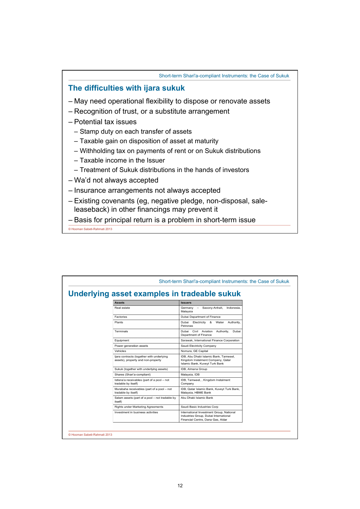Short-term Shari'a-compliant Instruments: the Case of Sukuk

## **The difficulties with ijara sukuk**

- May need operational flexibility to dispose or renovate assets
- Recognition of trust, or a substitute arrangement
- Potential tax issues
	- Stamp duty on each transfer of assets
	- Taxable gain on disposition of asset at maturity
	- Withholding tax on payments of rent or on Sukuk distributions
	- Taxable income in the Issuer
	- Treatment of Sukuk distributions in the hands of investors
- Wa'd not always accepted
- Insurance arrangements not always accepted
- Existing covenants (eg, negative pledge, non-disposal, saleleaseback) in other financings may prevent it
- Basis for principal return is a problem in short-term issue

© Hooman Sabeti-Rahmati 2013

| Underlying asset examples in tradeable sukuk                                    |                                                                                                                        |  |
|---------------------------------------------------------------------------------|------------------------------------------------------------------------------------------------------------------------|--|
| <b>Assets</b>                                                                   | <b>Issuers</b>                                                                                                         |  |
| Real estate                                                                     | $\sim$<br>Saxony-Anhalt.<br>Indonesia.<br>Germany<br>Malaysia                                                          |  |
| Factories                                                                       | Dubai Department of Finance                                                                                            |  |
| Plants                                                                          | Electricity & Water<br>Dubai<br>Authority.<br>Petronas                                                                 |  |
| Terminals                                                                       | Authority, Dubai<br>Dubai Civil Aviation<br>Department of Finance                                                      |  |
| Equipment                                                                       | Sarawak, International Finance Corporation                                                                             |  |
| Power generation assets                                                         | Saudi Electricity Company                                                                                              |  |
| Vehicles                                                                        | Nomura, GE Capital                                                                                                     |  |
| ljara contracts (together with underlying<br>assets), property and non-property | IDB, Abu Dhabi Islamic Bank, Tamweel,<br>Kingdom Instalment Company, Qatar<br>Islamic Bank, Kuveyt Turk Bank           |  |
| Sukuk (together with underlying assets)                                         | IDB, Almana Group                                                                                                      |  |
| Shares (Shari'a-compliant)                                                      | Malaysia, IDB                                                                                                          |  |
| Istisna'a receivables (part of a pool - not<br>tradable by itself)              | IDB, Tamweel, , Kingdom Instalment<br>Company                                                                          |  |
| Murabaha receivables (part of a pool - not<br>tradable by itself)               | IDB, Qatar Islamic Bank, Kuveyt Turk Bank,<br>Malaysia, HBME Bank                                                      |  |
| Salam assets (part of a pool - not tradable by<br>itself)                       | Abu Dhabi Islamic Bank                                                                                                 |  |
| Rights under Marketing Agreements                                               | Saudi Basic Industries Corp                                                                                            |  |
| Investment in business activities                                               | International Investment Group, National<br>Industries Group, Dubai International<br>Financial Centre, Dana Gas, Aldar |  |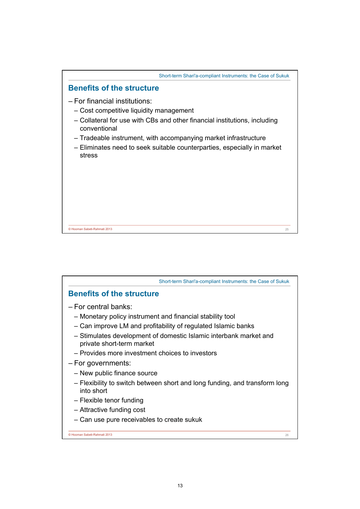

| Short-term Shari'a-compliant Instruments: the Case of Sukuk                                    |
|------------------------------------------------------------------------------------------------|
| <b>Benefits of the structure</b>                                                               |
| - For central banks:                                                                           |
| - Monetary policy instrument and financial stability tool                                      |
| - Can improve LM and profitability of regulated Islamic banks                                  |
| - Stimulates development of domestic Islamic interbank market and<br>private short-term market |
| - Provides more investment choices to investors                                                |
| - For governments:                                                                             |
| - New public finance source                                                                    |
| - Flexibility to switch between short and long funding, and transform long<br>into short       |
| - Flexible tenor funding                                                                       |
| - Attractive funding cost                                                                      |
| - Can use pure receivables to create sukuk                                                     |
| © Hooman Sabeti-Rahmati 2013<br>26                                                             |